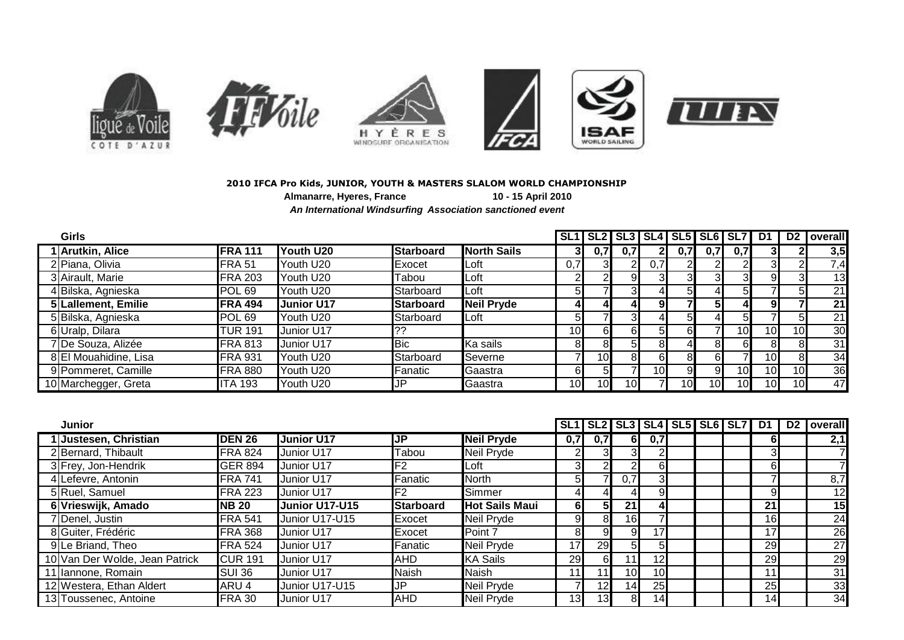

## **2010 IFCA Pro Kids, JUNIOR, YOUTH & MASTERS SLALOM WORLD CHAMPIONSHIP**

**Almanarre, Hyeres, France 10 - 15 April 2010**

*An International Windsurfing Association sanctioned event*

| <b>Girls</b>          |                |            |                  |                    |                 |                 | SL1 SL2 SL3 SL4 SL5 SL6 SL7 D1 |     |    |                 |                 |                 | D <sub>2</sub>  | overall |
|-----------------------|----------------|------------|------------------|--------------------|-----------------|-----------------|--------------------------------|-----|----|-----------------|-----------------|-----------------|-----------------|---------|
| 1 Arutkin, Alice      | <b>FRA 111</b> | Youth U20  | <b>Starboard</b> | <b>North Sails</b> |                 | 0,7             | 0.7                            |     |    | 0,7             | 0.71            |                 |                 | 3,5     |
| 2 Piana, Olivia       | FRA 51         | Youth U20  | Exocet           | Loft               | 0,7             |                 |                                | 0,7 |    |                 |                 | ЗI              |                 | 7,4     |
| 3 Airault, Marie      | <b>FRA 203</b> | Youth U20  | Tabou            | Loft               |                 |                 |                                |     | ЗI |                 |                 | 91              |                 | 13      |
| 4 Bilska, Agnieska    | POL 69         | Youth U20  | Starboard        | Loft               | 51              |                 | 3۱                             |     | 51 |                 |                 |                 |                 | 21      |
| 5 Lallement, Emilie   | <b>FRA 494</b> | Junior U17 | <b>Starboard</b> | Neil Pryde         | 41              |                 |                                |     |    | 51              |                 | 91              |                 | 21      |
| 5 Bilska, Agnieska    | POL 69         | Youth U20  | Starboard        | Loft               | 51              |                 |                                |     | 51 |                 |                 |                 |                 | 21      |
| 6 Uralp, Dilara       | <b>TUR 191</b> | Junior U17 |                  |                    | 10 <sub>l</sub> |                 |                                |     | 61 |                 | 10 <sub>l</sub> | 10I             | 10 <sub>l</sub> | 30      |
| 7 De Souza, Alizée    | <b>FRA 813</b> | Junior U17 | <b>Bic</b>       | Ka sails           | 81              |                 |                                |     |    |                 | 6               | 81              |                 | 31      |
| 8 El Mouahidine, Lisa | <b>FRA 931</b> | Youth U20  | Starboard        | Severne            |                 | 10 <sub>l</sub> | RΙ                             |     | 81 | ค               |                 | 10I             |                 | 34      |
| 9 Pommeret, Camille   | <b>FRA 880</b> | Youth U20  | Fanatic          | Gaastra            | 61              |                 |                                | 10  | 91 | 9               | 10              | 10 <sup>1</sup> | 10 <sub>l</sub> | 36      |
| 10 Marchegger, Greta  | <b>ITA 193</b> | Youth U20  | JP.              | Gaastra            | 10 <sub>l</sub> | 10 <sub>l</sub> | 10 <sup>1</sup>                |     | 10 | 10 <sup>1</sup> | 10 <sup>1</sup> | 10              | 10 <sup>1</sup> | 47      |

| <b>Junior</b>                  |                  |                   |                  |                       | SL <sub>1</sub> |                 | SL2   SL3   SL4   SL5   SL6   SL7 |     |  | D1 | D <sub>2</sub> | overall   |
|--------------------------------|------------------|-------------------|------------------|-----------------------|-----------------|-----------------|-----------------------------------|-----|--|----|----------------|-----------|
| 1 Justesen, Christian          | <b>DEN 26</b>    | <b>Junior U17</b> | JP               | <b>Neil Pryde</b>     | 0,7             | 0,7             | 61                                | 0,7 |  |    |                | 2,1       |
| 2 Bernard, Thibault            | <b>FRA 824</b>   | Junior U17        | Tabou            | Neil Pryde            |                 | 31              | 31                                |     |  |    |                |           |
| 3 Frey, Jon-Hendrik            | <b>GER 894</b>   | Junior U17        | F <sub>2</sub>   | Loft                  |                 |                 |                                   | 61  |  | h  |                |           |
| 4 Lefevre, Antonin             | <b>FRA 741</b>   | Junior U17        | Fanatic          | <b>North</b>          | 51              |                 | 0,7                               |     |  |    |                | 8,7       |
| 5 Ruel, Samuel                 | <b>FRA 223</b>   | Junior U17        | F <sub>2</sub>   | Simmer                | 41              |                 |                                   | 9   |  |    |                | 12        |
| 6 Vrieswijk, Amado             | <b>INB 20</b>    | Junior U17-U15    | <b>Starboard</b> | <b>Hot Sails Maui</b> | 61              |                 | 21                                |     |  | 21 |                | 15        |
| 7 Denel, Justin                | <b>FRA 541</b>   | Junior U17-U15    | Exocet           | Neil Pryde            | 9               | 81              | 16                                |     |  | 16 |                | 24        |
| 8 Guiter, Frédéric             | <b>FRA 368</b>   | Junior U17        | <b>Exocet</b>    | Point 7               | 81              |                 | 91                                | 17  |  | 17 |                | 26        |
| 9 Le Briand, Theo              | <b>FRA 524</b>   | Junior U17        | Fanatic          | Neil Pryde            | 17              | 29              | 51                                | 51  |  | 29 |                | <b>27</b> |
| 10 Van Der Wolde, Jean Patrick | <b>CUR 191</b>   | Junior U17        | AHD              | <b>KA Sails</b>       | 29              | 61              |                                   | 12  |  | 29 |                | 29        |
| 11 Hannone, Romain             | <b>SUI 36</b>    | Junior U17        | Naish            | <b>Naish</b>          | 11              |                 | 10 <sub>l</sub>                   | 10  |  |    |                | 31        |
| 12 Westera, Ethan Aldert       | ARU <sub>4</sub> | Junior U17-U15    | JP               | Neil Pryde            |                 | 12 <sub>l</sub> | 14                                | 25  |  | 25 |                | 33        |
| 13 Toussenec, Antoine          | FRA 30           | Junior U17        | AHD              | Neil Pryde            | 13 <sub>l</sub> | 13              | 81                                | 14  |  | 14 |                | 34        |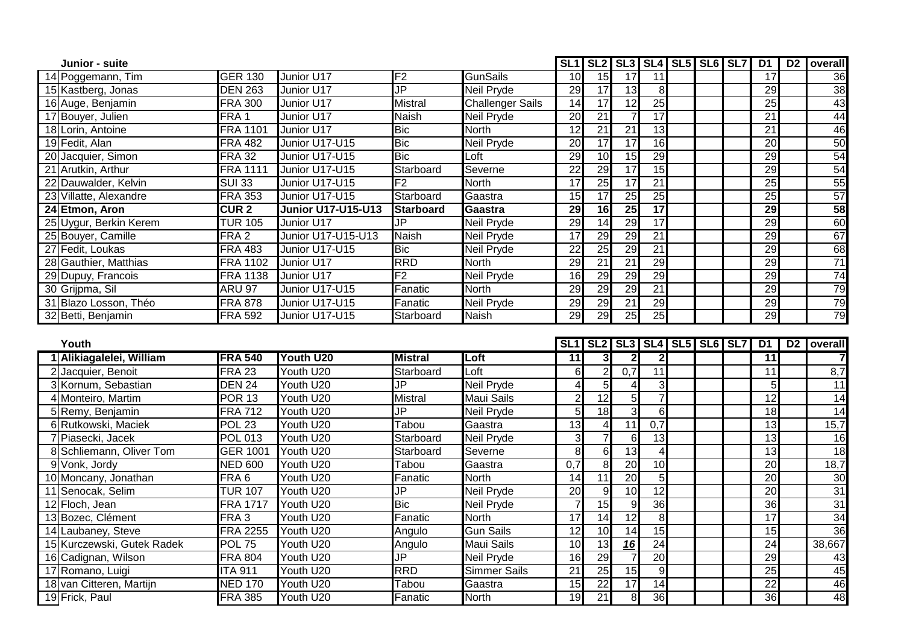| Junior - suite                             |                                  |                           |                          |                         |                          |                                    | <b>SL1 SL2 SL3</b> |                         | <b>SL4 SL5 SL6 SL7</b>     |  | $\overline{D1}$       | D2 | overall                 |
|--------------------------------------------|----------------------------------|---------------------------|--------------------------|-------------------------|--------------------------|------------------------------------|--------------------|-------------------------|----------------------------|--|-----------------------|----|-------------------------|
| 14 Poggemann, Tim                          | <b>GER 130</b>                   | Junior U17                | F <sub>2</sub>           | <b>GunSails</b>         | $\overline{10}$          | 15                                 | $\overline{17}$    | $\overline{11}$         |                            |  | $\overline{17}$       |    | 36                      |
| 15 Kastberg, Jonas                         | <b>DEN 263</b>                   | Junior U17                | $\overline{\mathsf{JP}}$ | <b>Neil Pryde</b>       | 29                       | 17                                 | 13                 | $\overline{8}$          |                            |  | 29                    |    | $\overline{38}$         |
| 16 Auge, Benjamin                          | <b>FRA 300</b>                   | Junior U17                | <b>Mistral</b>           | <b>Challenger Sails</b> | $\overline{14}$          | $\overline{17}$                    | $\overline{12}$    | 25                      |                            |  | $\overline{25}$       |    | $\overline{43}$         |
| 17 Bouyer, Julien                          | FRA1                             | Junior U17                | <b>Naish</b>             | <b>Neil Pryde</b>       | $\overline{20}$          | $\overline{21}$                    | 7                  | $\overline{17}$         |                            |  | $\overline{21}$       |    | $\overline{44}$         |
| 18 Lorin, Antoine                          | <b>FRA 1101</b>                  | Junior U17                | <b>Bic</b>               | <b>North</b>            | $\overline{12}$          | $\overline{21}$                    | $\overline{21}$    | 13                      |                            |  | $\overline{21}$       |    | 46                      |
| 19 Fedit, Alan                             | <b>FRA 482</b>                   | Junior U17-U15            | <b>Bic</b>               | <b>Neil Pryde</b>       | $\overline{20}$          | 17                                 | $\overline{17}$    | 16                      |                            |  | 20                    |    | 50                      |
| 20 Jacquier, Simon                         | <b>FRA 32</b>                    | Junior U17-U15            | <b>Bic</b>               | Loft                    | 29                       | 10                                 | 15                 | 29                      |                            |  | 29                    |    | 54                      |
| 21 Arutkin, Arthur                         | <b>FRA 1111</b>                  | Junior U17-U15            | Starboard                | Severne                 | $\overline{22}$          | 29                                 | 17                 | 15                      |                            |  | 29                    |    | 54                      |
| 22 Dauwalder, Kelvin                       | <b>SUI 33</b>                    | Junior U17-U15            | F <sub>2</sub>           | North                   | $\overline{17}$          | $\overline{25}$                    | $\overline{17}$    | $\overline{21}$         |                            |  | $\overline{25}$       |    | 55                      |
| 23 Villatte, Alexandre                     | <b>FRA 353</b>                   | Junior U17-U15            | Starboard                | Gaastra                 | 15                       | $\overline{17}$                    | $\overline{25}$    | $\overline{25}$         |                            |  | $\overline{25}$       |    | 57                      |
| 24 Etmon, Aron                             | CUR <sub>2</sub>                 | <b>Junior U17-U15-U13</b> | <b>Starboard</b>         | Gaastra                 | $\overline{29}$          | 16                                 | $\overline{25}$    | $\overline{17}$         |                            |  | 29                    |    | 58                      |
| 25 Uygur, Berkin Kerem                     | <b>TUR 105</b>                   | Junior U17                | JP                       | <b>Neil Pryde</b>       | 29                       | 14                                 | 29                 | $\overline{17}$         |                            |  | 29                    |    | 60                      |
| 25 Bouyer, Camille                         | FRA2                             | <b>Junior U17-U15-U13</b> | <b>Naish</b>             | <b>Neil Pryde</b>       | 17                       | 29                                 | 29                 | $\overline{21}$         |                            |  | 29                    |    | 67                      |
| 27 Fedit, Loukas                           | <b>FRA 483</b>                   | Junior U17-U15            | <b>Bic</b>               | <b>Neil Pryde</b>       | $\overline{22}$          | $\overline{25}$                    | 29                 | $\overline{21}$         |                            |  | 29                    |    | 68                      |
| 28 Gauthier, Matthias                      | <b>FRA 1102</b>                  | Junior U17                | <b>RRD</b>               | <b>North</b>            | 29                       | $\overline{21}$                    | $\overline{21}$    | $\overline{29}$         |                            |  | 29                    |    | $\overline{71}$         |
| 29 Dupuy, Francois                         | <b>FRA 1138</b>                  | Junior U17                | F <sub>2</sub>           | Neil Pryde              | 16                       | 29                                 | 29                 | 29                      |                            |  | 29                    |    | $\overline{74}$         |
| 30 Grijpma, Sil                            | <b>ARU 97</b>                    | Junior U17-U15            | Fanatic                  | <b>North</b>            | 29                       | 29                                 | 29                 | $\overline{21}$         |                            |  | 29                    |    | 79                      |
| 31 Blazo Losson, Théo                      | <b>FRA 878</b>                   | Junior U17-U15            | Fanatic                  | <b>Neil Pryde</b>       | 29                       | 29                                 | $\overline{21}$    | 29                      |                            |  | 29                    |    | 79                      |
| 32 Betti, Benjamin                         | <b>FRA 592</b>                   | Junior U17-U15            | Starboard                | <b>Naish</b>            | 29                       | 29                                 | 25                 | $\overline{25}$         |                            |  | 29                    |    | 79                      |
|                                            |                                  |                           |                          |                         |                          |                                    |                    |                         |                            |  |                       |    |                         |
|                                            |                                  |                           |                          |                         |                          |                                    |                    |                         |                            |  |                       |    |                         |
| Youth                                      |                                  |                           |                          |                         |                          | <b>SL1 SL2</b>                     |                    |                         | <b>SL3 SL4 SL5 SL6 SL7</b> |  | $\overline{D1}$       | D2 | overall                 |
| 1 Alikiagalelei, William                   | <b>FRA 540</b>                   | Youth U20                 | <b>Mistral</b>           | Loft                    | $\overline{11}$          | 3                                  | $\overline{2}$     | $\overline{\mathbf{2}}$ |                            |  | $\overline{11}$       |    | $\overline{\mathbf{7}}$ |
| 2 Jacquier, Benoit                         | $FRA$ 23                         | Youth U20                 | Starboard                | Loft                    | 6                        | $\overline{2}$                     | $\overline{0.7}$   | $\overline{11}$         |                            |  | $\overline{11}$       |    | 8,7                     |
| 3 Kornum, Sebastian                        | <b>DEN 24</b>                    | Youth U20                 | JP                       | <b>Neil Pryde</b>       | $\overline{\mathcal{L}}$ | 5                                  | 4                  | 3                       |                            |  | 5                     |    | 11                      |
| 4 Monteiro, Martim                         | <b>POR 13</b>                    | Youth U20                 | <b>Mistral</b>           | <b>Maui Sails</b>       | $\overline{2}$           | $\overline{12}$                    | 5                  | $\overline{7}$          |                            |  | $\overline{12}$       |    | $\overline{14}$         |
| 5 Remy, Benjamin                           | <b>FRA 712</b>                   | Youth U20                 | JP                       | <b>Neil Pryde</b>       | 5                        | 18                                 | 3                  | 6                       |                            |  | 18                    |    | 14                      |
| 6 Rutkowski, Maciek                        | <b>POL 23</b>                    | Youth U20                 | Tabou                    | Gaastra                 | $\overline{13}$          | 4                                  | $\overline{11}$    | 0,7                     |                            |  | $\overline{13}$       |    | 15,7                    |
| 7 Piasecki, Jacek                          | <b>POL 013</b>                   | Youth U20                 | Starboard                | <b>Neil Pryde</b>       | 3                        | $\overline{7}$                     | 6                  | 13                      |                            |  | 13                    |    | $\overline{16}$         |
| 8 Schliemann, Oliver Tom                   | <b>GER 1001</b>                  | Youth U20                 | Starboard                | Severne                 | 8                        | $6\phantom{1}6$                    | 13                 | $\overline{4}$          |                            |  | $\overline{13}$       |    | $\overline{18}$         |
| 9 Vonk, Jordy                              | <b>NED 600</b>                   | Youth U20                 | Tabou                    | Gaastra                 | 0,7                      | $\overline{8}$                     | 20                 | 10                      |                            |  | $\overline{20}$       |    | 18,7                    |
| 10 Moncany, Jonathan                       | FRA <sub>6</sub>                 | Youth U20                 | Fanatic                  | <b>North</b>            | $\overline{14}$          | $\overline{11}$                    | $\overline{20}$    | $\overline{5}$          |                            |  | $\overline{20}$       |    | $\overline{30}$         |
| 11 Senocak, Selim                          | <b>TUR 107</b>                   | Youth U20                 | JP                       | <b>Neil Pryde</b>       | $\overline{20}$          | 9                                  | $\overline{10}$    | 12                      |                            |  | 20                    |    | 31                      |
| 12 Floch, Jean                             | <b>FRA 1717</b>                  | Youth U20                 | <b>Bic</b>               | Neil Pryde              |                          | 15                                 | 9                  | $\overline{36}$         |                            |  | 36                    |    | $\overline{31}$         |
| 13 Bozec, Clément                          | FRA <sub>3</sub>                 | Youth U20                 | Fanatic                  | <b>North</b>            | $\overline{17}$          | 14                                 | $\overline{12}$    | $\overline{8}$          |                            |  | 17                    |    | 34                      |
| 14 Laubaney, Steve                         | <b>FRA 2255</b>                  | Youth U20                 | Angulo                   | <b>Gun Sails</b>        | $\overline{12}$          | $\overline{10}$                    | 14                 | 15                      |                            |  | $\overline{15}$       |    | $\overline{36}$         |
| 15 Kurczewski, Gutek Radek                 | <b>POL 75</b>                    | Youth U20                 | Angulo                   | <b>Maui Sails</b>       | $\overline{10}$          | $\overline{13}$                    | 16                 | $\overline{24}$         |                            |  | $\overline{24}$       |    | 38,667                  |
| 16 Cadignan, Wilson                        | <b>FRA 804</b>                   | Youth U20                 | $\overline{\mathsf{JP}}$ | <b>Neil Pryde</b>       | $\overline{16}$          | 29                                 |                    | $\overline{20}$         |                            |  | $\overline{29}$       |    | 43                      |
| 17 Romano, Luigi                           | <b>ITA 911</b>                   | Youth U20                 | <b>RRD</b>               | <b>Simmer Sails</b>     | $\overline{21}$          | $\overline{25}$                    | $\overline{15}$    | $\overline{9}$          |                            |  | $\overline{25}$       |    | 45                      |
| 18 van Citteren, Martijn<br>19 Frick, Paul | <b>NED 170</b><br><b>FRA 385</b> | Youth U20<br>Youth U20    | Tabou<br>Fanatic         | Gaastra<br><b>North</b> | $\overline{15}$<br>19    | $\overline{22}$<br>$\overline{21}$ | 17<br>8            | 14<br>36                |                            |  | $\overline{22}$<br>36 |    | 46<br>48                |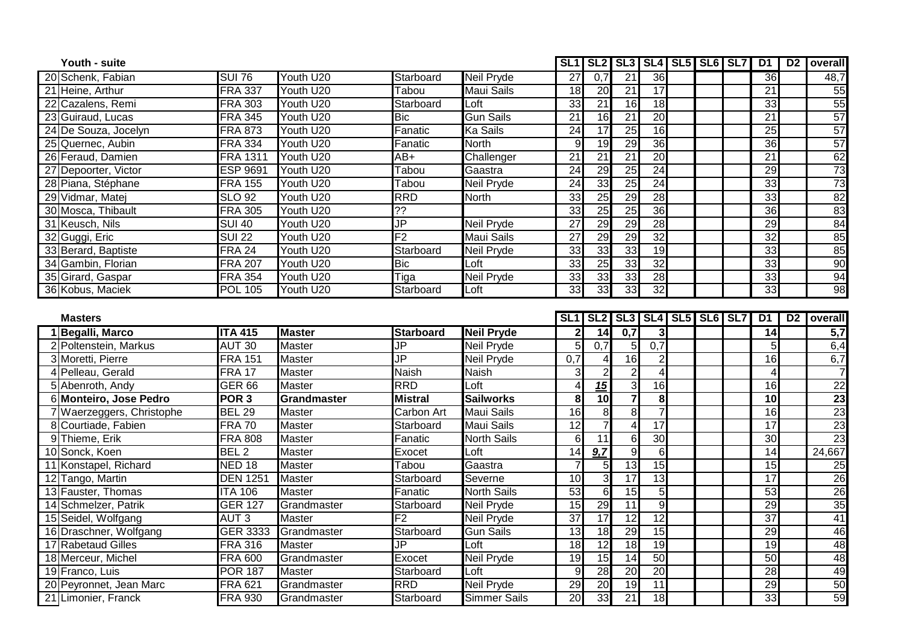| Youth - suite                                  |                                  |                            |                          |                                   | SL <sub>1</sub>       |                       | SL2 SL3 SL4 SL5 SL6 SL7 |                         |             |  | D1              | D2 | overall         |
|------------------------------------------------|----------------------------------|----------------------------|--------------------------|-----------------------------------|-----------------------|-----------------------|-------------------------|-------------------------|-------------|--|-----------------|----|-----------------|
| 20 Schenk, Fabian                              | <b>SUI 76</b>                    | Youth U20                  | Starboard                | <b>Neil Pryde</b>                 | $\overline{27}$       | $\overline{0.7}$      | 21                      | 36                      |             |  | 36              |    | 48,7            |
| 21 Heine, Arthur                               | <b>FRA 337</b>                   | Youth U20                  | Tabou                    | <b>Maui Sails</b>                 | 18                    | $\overline{20}$       | $\overline{21}$         | $\overline{17}$         |             |  | 21              |    | 55              |
| 22 Cazalens, Remi                              | <b>FRA 303</b>                   | Youth U20                  | Starboard                | Loft                              | 33                    | $\overline{21}$       | 16                      | $\overline{18}$         |             |  | 33              |    | 55              |
| 23 Guiraud, Lucas                              | <b>FRA 345</b>                   | Youth U20                  | <b>Bic</b>               | <b>Gun Sails</b>                  | 21                    | $\overline{16}$       | $\overline{21}$         | $\overline{20}$         |             |  | $\overline{21}$ |    | $\overline{57}$ |
| 24 De Souza, Jocelyn                           | <b>FRA 873</b>                   | Youth U20                  | Fanatic                  | Ka Sails                          | 24                    | 17                    | $\overline{25}$         | 16                      |             |  | $\overline{25}$ |    | 57              |
| 25 Quernec, Aubin                              | <b>FRA 334</b>                   | Youth U20                  | Fanatic                  | North                             | 9                     | $\overline{19}$       | 29                      | 36                      |             |  | 36              |    | 57              |
| 26 Feraud, Damien                              | <b>FRA 1311</b>                  | Youth U20                  | $AB+$                    | Challenger                        | 21                    | $\overline{21}$       | $\overline{21}$         | $\overline{20}$         |             |  | 21              |    | 62              |
| 27 Depoorter, Victor                           | <b>ESP 9691</b>                  | Youth U20                  | Tabou                    | Gaastra                           | $\overline{24}$       | 29                    | $\overline{25}$         | $\overline{24}$         |             |  | 29              |    | $\overline{73}$ |
| 28 Piana, Stéphane                             | <b>FRA 155</b>                   | Youth U20                  | Tabou                    | <b>Neil Pryde</b>                 | $\overline{24}$       | 33                    | $\overline{25}$         | $\overline{24}$         |             |  | 33              |    | $\overline{73}$ |
| 29 Vidmar, Matej                               | <b>SLO 92</b>                    | Youth U20                  | <b>RRD</b>               | North                             | 33                    | $\overline{25}$       | 29                      | 28                      |             |  | 33              |    | $\overline{82}$ |
| 30 Mosca, Thibault                             | <b>FRA 305</b>                   | Youth U20                  | ??                       |                                   | 33                    | $\overline{25}$       | $\overline{25}$         | $\overline{36}$         |             |  | 36              |    | 83              |
| 31 Keusch, Nils                                | <b>SUI 40</b>                    | Youth U20                  | 등                        | <b>Neil Pryde</b>                 | 27                    | 29                    | 29                      | $\overline{28}$         |             |  | 29              |    | 84              |
| 32 Guggi, Eric                                 | <b>SUI 22</b>                    | Youth U20                  | F <sub>2</sub>           | <b>Maui Sails</b>                 | 27                    | 29                    | 29                      | $\overline{32}$         |             |  | $\overline{32}$ |    | 85              |
| 33 Berard, Baptiste                            | <b>FRA 24</b>                    | Youth U20                  | Starboard                | Neil Pryde                        | $\overline{33}$       | 33                    | 33                      | 19                      |             |  | 33              |    | 85              |
| 34 Gambin, Florian                             | <b>FRA 207</b>                   | Youth U20                  | Bic                      | ∟oft                              | $\overline{33}$       | $\overline{25}$       | 33                      | $\overline{32}$         |             |  | 33              |    | $\overline{90}$ |
| 35 Girard, Gaspar                              | <b>FRA 354</b>                   | Youth U20                  | Tiga                     | <b>Neil Pryde</b>                 | 33                    | 33                    | 33                      | $\overline{28}$         |             |  | 33              |    | 94              |
| 36 Kobus, Maciek                               | <b>POL 105</b>                   | Youth U20                  | Starboard                | Loft                              | 33                    | 33                    | 33                      | $\overline{32}$         |             |  | 33              |    | 98              |
|                                                |                                  |                            |                          |                                   |                       |                       |                         |                         |             |  |                 |    |                 |
| <b>Masters</b>                                 |                                  |                            |                          |                                   |                       |                       | <b>SL1 SL2 SL3</b>      | SL <sub>4</sub>         | SL5 SL6 SL7 |  | $\overline{D1}$ | D2 | overall         |
|                                                |                                  |                            |                          |                                   |                       |                       |                         |                         |             |  |                 |    |                 |
| 1 Begalli, Marco                               | <b>ITA 415</b>                   | <b>Master</b>              | <b>Starboard</b>         | <b>Neil Pryde</b>                 | $\mathbf 2$           | 14                    | $\overline{0,7}$        | 3                       |             |  | $\overline{14}$ |    | 5,7             |
| 2 Poltenstein, Markus                          | <b>AUT 30</b>                    | Master                     | JP                       | Neil Pryde                        | 5                     | $\overline{0,7}$      | 5                       | 0,7                     |             |  | 5               |    | 6,4             |
| 3 Moretti, Pierre                              | <b>FRA 151</b>                   | Master                     | $\overline{\mathsf{JP}}$ | Neil Pryde                        | 0,7                   | 4                     | 16                      | $\overline{2}$          |             |  | 16              |    | 6,7             |
| 4 Pelleau, Gerald                              | <b>FRA 17</b>                    | Master                     | <b>Naish</b>             | Naish                             |                       | $\overline{2}$        | 2                       | $\overline{4}$          |             |  |                 |    | $\overline{7}$  |
| 5 Abenroth, Andy                               | <b>GER 66</b>                    | Master                     | <b>RRD</b>               | $L$ oft                           |                       | 15                    | 3                       | 16                      |             |  | 16              |    | $\overline{22}$ |
| 6 Monteiro, Jose Pedro                         | POR <sub>3</sub>                 | Grandmaster                | <b>Mistral</b>           | <b>Sailworks</b>                  | 8                     | $\overline{10}$       | $\overline{\mathbf{z}}$ | $\overline{\mathbf{8}}$ |             |  | $\overline{10}$ |    | $\overline{23}$ |
| 7 Waerzeggers, Christophe                      | <b>BEL 29</b>                    | <b>Master</b>              | Carbon Art               | <b>Maui Sails</b>                 | 16                    | 8                     | 8                       | $\overline{7}$          |             |  | 16              |    | 23              |
| 8 Courtiade, Fabien                            | <b>FRA 70</b>                    | <b>Master</b>              | Starboard                | <b>Maui Sails</b>                 | $\overline{12}$       | 7                     | 4                       | 17                      |             |  | $\overline{17}$ |    | 23              |
| 9 Thieme, Erik                                 | <b>FRA 808</b>                   | Master                     | Fanatic                  | <b>North Sails</b>                | 6                     | $\overline{11}$       | 61                      | $\overline{30}$         |             |  | 30              |    | $\overline{23}$ |
| 10 Sonck, Koen                                 | BEL <sub>2</sub>                 | Master                     | Exocet                   | Loft                              | 14                    | 9.7                   | 9                       | $6\phantom{1}6$         |             |  | 14              |    | 24,667          |
| 11 Konstapel, Richard                          | $\overline{\sf NED}$ 18          | <b>Master</b>              | Tabou                    | Gaastra                           |                       | 5                     | 13                      | 15                      |             |  | 15              |    | 25              |
| 12 Tango, Martin                               | <b>DEN 1251</b>                  | <b>Master</b>              | Starboard                | Severne                           | 10                    | 3                     | 17                      | 13                      |             |  | $\overline{17}$ |    | $\overline{26}$ |
| 13 Fauster, Thomas                             | <b>ITA 106</b>                   | Master                     | Fanatic                  | <b>North Sails</b>                | 53                    | $6\phantom{1}6$       | 15                      | $\overline{5}$          |             |  | 53              |    | $\overline{26}$ |
| 14 Schmelzer, Patrik                           | <b>GER 127</b>                   | Grandmaster                | Starboard                | <b>Neil Pryde</b>                 | $\overline{15}$       | 29                    | $\overline{11}$         | $\overline{9}$          |             |  | 29              |    | 35              |
| 15 Seidel, Wolfgang                            | AUT <sub>3</sub>                 | Master                     | F <sub>2</sub>           | Neil Pryde                        | $\overline{37}$       | 17                    | 12                      | 12                      |             |  | $\overline{37}$ |    | 41              |
| 16 Draschner, Wolfgang                         | <b>GER 3333</b>                  | Grandmaster                | Starboard                | <b>Gun Sails</b>                  | 13                    | $\overline{18}$       | 29                      | 15                      |             |  | 29              |    | 46              |
| 17 Rabetaud Gilles                             | <b>FRA 316</b>                   | <b>Master</b>              | JP                       | Loft                              | $\overline{18}$       | $\overline{12}$       | 18                      | 19                      |             |  | $\overline{19}$ |    | 48              |
| 18 Merceur, Michel                             | <b>FRA 600</b>                   | Grandmaster                | Exocet                   | Neil Pryde                        | $\overline{19}$       | $\overline{15}$       | 14                      | 50                      |             |  | $\overline{50}$ |    | 48              |
| 19 Franco, Luis                                | <b>POR 187</b>                   | Master                     | Starboard                | Loft                              | 9                     | 28                    | $\overline{20}$         | $\overline{20}$         |             |  | 28              |    | 49              |
| 20 Peyronnet, Jean Marc<br>21 Limonier, Franck | <b>FRA 621</b><br><b>FRA 930</b> | Grandmaster<br>Grandmaster | <b>RRD</b><br>Starboard  | Neil Pryde<br><b>Simmer Sails</b> | 29<br>$\overline{20}$ | $\overline{20}$<br>33 | 19<br>21                | 11<br>18                |             |  | 29<br>33        |    | 50<br>59        |